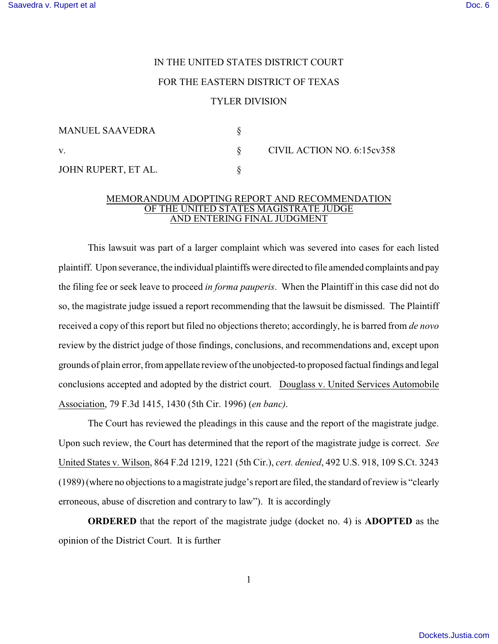## IN THE UNITED STATES DISTRICT COURT FOR THE EASTERN DISTRICT OF TEXAS TYLER DIVISION

| MANUEL SAAVEDRA     |                            |
|---------------------|----------------------------|
| V.                  | CIVIL ACTION NO. 6:15cv358 |
| JOHN RUPERT, ET AL. |                            |

## MEMORANDUM ADOPTING REPORT AND RECOMMENDATION OF THE UNITED STATES MAGISTRATE JUDGE AND ENTERING FINAL JUDGMENT

This lawsuit was part of a larger complaint which was severed into cases for each listed plaintiff. Upon severance, the individual plaintiffs were directed to file amended complaints and pay the filing fee or seek leave to proceed *in forma pauperis*. When the Plaintiff in this case did not do so, the magistrate judge issued a report recommending that the lawsuit be dismissed. The Plaintiff received a copy of this report but filed no objections thereto; accordingly, he is barred from *de novo* review by the district judge of those findings, conclusions, and recommendations and, except upon grounds of plain error, from appellate review of the unobjected-to proposed factual findings and legal conclusions accepted and adopted by the district court. Douglass v. United Services Automobile Association, 79 F.3d 1415, 1430 (5th Cir. 1996) (*en banc)*.

The Court has reviewed the pleadings in this cause and the report of the magistrate judge. Upon such review, the Court has determined that the report of the magistrate judge is correct. *See* United States v. Wilson, 864 F.2d 1219, 1221 (5th Cir.), *cert. denied*, 492 U.S. 918, 109 S.Ct. 3243 (1989) (where no objections to a magistrate judge's report are filed, the standard of review is "clearly erroneous, abuse of discretion and contrary to law"). It is accordingly

**ORDERED** that the report of the magistrate judge (docket no. 4) is **ADOPTED** as the opinion of the District Court. It is further